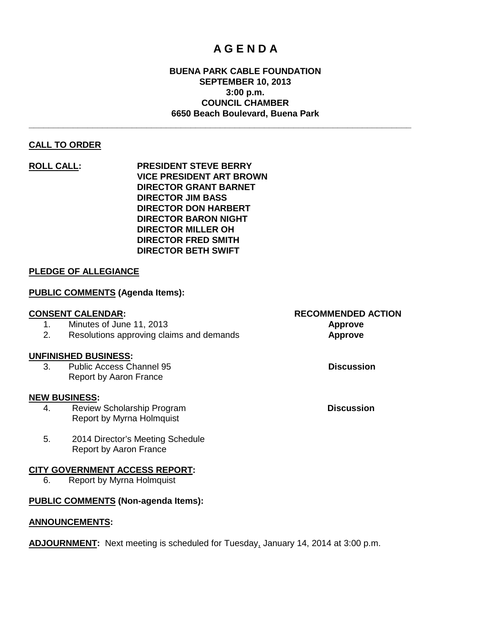# **A G E N D A**

# **BUENA PARK CABLE FOUNDATION SEPTEMBER 10, 2013 3:00 p.m. COUNCIL CHAMBER 6650 Beach Boulevard, Buena Park**

**\_\_\_\_\_\_\_\_\_\_\_\_\_\_\_\_\_\_\_\_\_\_\_\_\_\_\_\_\_\_\_\_\_\_\_\_\_\_\_\_\_\_\_\_\_\_\_\_\_\_\_\_\_\_\_\_\_\_\_\_\_\_\_\_\_\_\_\_\_\_\_\_\_\_\_\_\_\_**

# **CALL TO ORDER**

**ROLL CALL: PRESIDENT STEVE BERRY VICE PRESIDENT ART BROWN DIRECTOR GRANT BARNET DIRECTOR JIM BASS DIRECTOR DON HARBERT DIRECTOR BARON NIGHT DIRECTOR MILLER OH DIRECTOR FRED SMITH DIRECTOR BETH SWIFT**

# **PLEDGE OF ALLEGIANCE**

# **PUBLIC COMMENTS (Agenda Items):**

# **CONSENT CALENDAR: RECOMMENDED ACTION** 1. Minutes of June 11, 2013 **Approve** 2. Resolutions approving claims and demands **Approve UNFINISHED BUSINESS:** 3. Public Access Channel 95 **Discussion** Report by Aaron France

#### **NEW BUSINESS:**

- 4. Review Scholarship Program **Discussion** Report by Myrna Holmquist
- 5. 2014 Director's Meeting Schedule Report by Aaron France

#### **CITY GOVERNMENT ACCESS REPORT:**

6. Report by Myrna Holmquist

# **PUBLIC COMMENTS (Non-agenda Items):**

#### **ANNOUNCEMENTS:**

**ADJOURNMENT:** Next meeting is scheduled for Tuesday, January 14, 2014 at 3:00 p.m.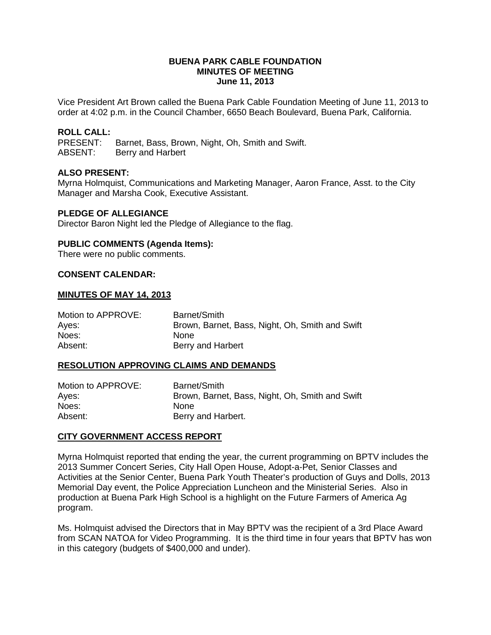#### **BUENA PARK CABLE FOUNDATION MINUTES OF MEETING June 11, 2013**

Vice President Art Brown called the Buena Park Cable Foundation Meeting of June 11, 2013 to order at 4:02 p.m. in the Council Chamber, 6650 Beach Boulevard, Buena Park, California.

# **ROLL CALL:**

Barnet, Bass, Brown, Night, Oh, Smith and Swift. ABSENT: Berry and Harbert

# **ALSO PRESENT:**

Myrna Holmquist, Communications and Marketing Manager, Aaron France, Asst. to the City Manager and Marsha Cook, Executive Assistant.

#### **PLEDGE OF ALLEGIANCE**

Director Baron Night led the Pledge of Allegiance to the flag.

#### **PUBLIC COMMENTS (Agenda Items):**

There were no public comments.

#### **CONSENT CALENDAR:**

#### **MINUTES OF MAY 14, 2013**

| Motion to APPROVE: | Barnet/Smith                                    |
|--------------------|-------------------------------------------------|
| Ayes:              | Brown, Barnet, Bass, Night, Oh, Smith and Swift |
| Noes:              | <b>None</b>                                     |
| Absent:            | Berry and Harbert                               |

#### **RESOLUTION APPROVING CLAIMS AND DEMANDS**

| Motion to APPROVE: | Barnet/Smith                                    |
|--------------------|-------------------------------------------------|
| Ayes:              | Brown, Barnet, Bass, Night, Oh, Smith and Swift |
| Noes:              | <b>None</b>                                     |
| Absent:            | Berry and Harbert.                              |

#### **CITY GOVERNMENT ACCESS REPORT**

Myrna Holmquist reported that ending the year, the current programming on BPTV includes the 2013 Summer Concert Series, City Hall Open House, Adopt-a-Pet, Senior Classes and Activities at the Senior Center, Buena Park Youth Theater's production of Guys and Dolls, 2013 Memorial Day event, the Police Appreciation Luncheon and the Ministerial Series. Also in production at Buena Park High School is a highlight on the Future Farmers of America Ag program.

Ms. Holmquist advised the Directors that in May BPTV was the recipient of a 3rd Place Award from SCAN NATOA for Video Programming. It is the third time in four years that BPTV has won in this category (budgets of \$400,000 and under).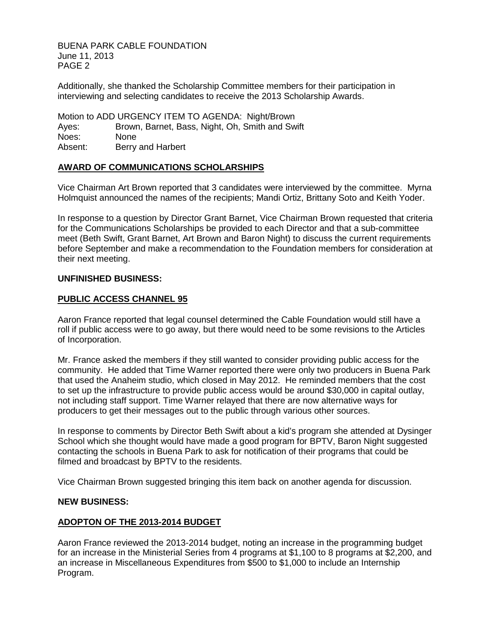BUENA PARK CABLE FOUNDATION June 11, 2013 PAGE 2

Additionally, she thanked the Scholarship Committee members for their participation in interviewing and selecting candidates to receive the 2013 Scholarship Awards.

Motion to ADD URGENCY ITEM TO AGENDA: Night/Brown Ayes: Brown, Barnet, Bass, Night, Oh, Smith and Swift Noes: None Absent: Berry and Harbert

# **AWARD OF COMMUNICATIONS SCHOLARSHIPS**

Vice Chairman Art Brown reported that 3 candidates were interviewed by the committee. Myrna Holmquist announced the names of the recipients; Mandi Ortiz, Brittany Soto and Keith Yoder.

In response to a question by Director Grant Barnet, Vice Chairman Brown requested that criteria for the Communications Scholarships be provided to each Director and that a sub-committee meet (Beth Swift, Grant Barnet, Art Brown and Baron Night) to discuss the current requirements before September and make a recommendation to the Foundation members for consideration at their next meeting.

#### **UNFINISHED BUSINESS:**

# **PUBLIC ACCESS CHANNEL 95**

Aaron France reported that legal counsel determined the Cable Foundation would still have a roll if public access were to go away, but there would need to be some revisions to the Articles of Incorporation.

Mr. France asked the members if they still wanted to consider providing public access for the community. He added that Time Warner reported there were only two producers in Buena Park that used the Anaheim studio, which closed in May 2012. He reminded members that the cost to set up the infrastructure to provide public access would be around \$30,000 in capital outlay, not including staff support. Time Warner relayed that there are now alternative ways for producers to get their messages out to the public through various other sources.

In response to comments by Director Beth Swift about a kid's program she attended at Dysinger School which she thought would have made a good program for BPTV, Baron Night suggested contacting the schools in Buena Park to ask for notification of their programs that could be filmed and broadcast by BPTV to the residents.

Vice Chairman Brown suggested bringing this item back on another agenda for discussion.

#### **NEW BUSINESS:**

# **ADOPTON OF THE 2013-2014 BUDGET**

Aaron France reviewed the 2013-2014 budget, noting an increase in the programming budget for an increase in the Ministerial Series from 4 programs at \$1,100 to 8 programs at \$2,200, and an increase in Miscellaneous Expenditures from \$500 to \$1,000 to include an Internship Program.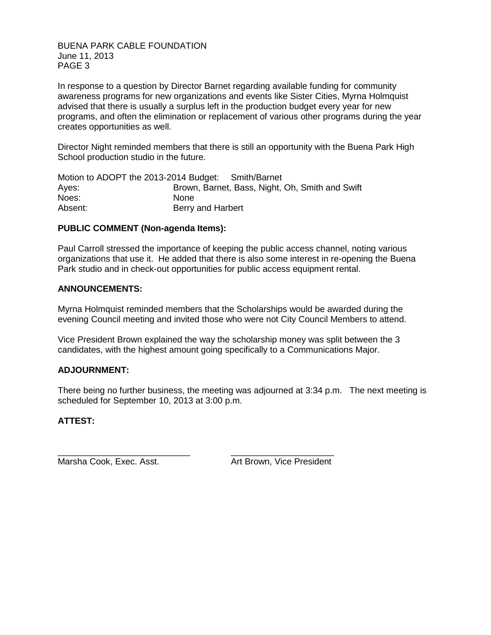BUENA PARK CABLE FOUNDATION June 11, 2013 PAGE 3

In response to a question by Director Barnet regarding available funding for community awareness programs for new organizations and events like Sister Cities, Myrna Holmquist advised that there is usually a surplus left in the production budget every year for new programs, and often the elimination or replacement of various other programs during the year creates opportunities as well.

Director Night reminded members that there is still an opportunity with the Buena Park High School production studio in the future.

| Motion to ADOPT the 2013-2014 Budget: Smith/Barnet |                                                 |
|----------------------------------------------------|-------------------------------------------------|
| Ayes:                                              | Brown, Barnet, Bass, Night, Oh, Smith and Swift |
| Noes:                                              | <b>None</b>                                     |
| Absent:                                            | Berry and Harbert                               |

# **PUBLIC COMMENT (Non-agenda Items):**

Paul Carroll stressed the importance of keeping the public access channel, noting various organizations that use it. He added that there is also some interest in re-opening the Buena Park studio and in check-out opportunities for public access equipment rental.

# **ANNOUNCEMENTS:**

Myrna Holmquist reminded members that the Scholarships would be awarded during the evening Council meeting and invited those who were not City Council Members to attend.

Vice President Brown explained the way the scholarship money was split between the 3 candidates, with the highest amount going specifically to a Communications Major.

# **ADJOURNMENT:**

There being no further business, the meeting was adjourned at 3:34 p.m. The next meeting is scheduled for September 10, 2013 at 3:00 p.m.

# **ATTEST:**

\_\_\_\_\_\_\_\_\_\_\_\_\_\_\_\_\_\_\_\_\_\_\_\_\_\_\_ \_\_\_\_\_\_\_\_\_\_\_\_\_\_\_\_\_\_\_\_\_ Marsha Cook, Exec. Asst. Art Brown, Vice President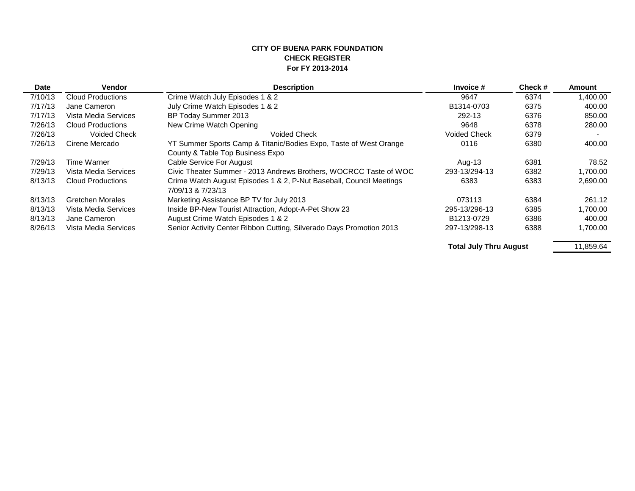#### **CITY OF BUENA PARK FOUNDATION CHECK REGISTER For FY 2013-2014**

| Date    | <b>Vendor</b>            | <b>Description</b>                                                   | Invoice #                     | Check# | Amount    |
|---------|--------------------------|----------------------------------------------------------------------|-------------------------------|--------|-----------|
| 7/10/13 | <b>Cloud Productions</b> | Crime Watch July Episodes 1 & 2                                      | 9647                          | 6374   | 1,400.00  |
| 7/17/13 | Jane Cameron             | July Crime Watch Episodes 1 & 2                                      | B1314-0703                    | 6375   | 400.00    |
| 7/17/13 | Vista Media Services     | BP Today Summer 2013                                                 | 292-13                        | 6376   | 850.00    |
| 7/26/13 | Cloud Productions        | New Crime Watch Opening                                              | 9648                          | 6378   | 280.00    |
| 7/26/13 | <b>Voided Check</b>      | <b>Voided Check</b>                                                  | <b>Voided Check</b>           | 6379   |           |
| 7/26/13 | Cirene Mercado           | YT Summer Sports Camp & Titanic/Bodies Expo, Taste of West Orange    | 0116                          | 6380   | 400.00    |
|         |                          | County & Table Top Business Expo                                     |                               |        |           |
| 7/29/13 | Time Warner              | Cable Service For August                                             | Aug-13                        | 6381   | 78.52     |
| 7/29/13 | Vista Media Services     | Civic Theater Summer - 2013 Andrews Brothers, WOCRCC Taste of WOC    | 293-13/294-13                 | 6382   | 1,700.00  |
| 8/13/13 | <b>Cloud Productions</b> | Crime Watch August Episodes 1 & 2, P-Nut Baseball, Council Meetings  | 6383                          | 6383   | 2,690.00  |
|         | <b>Gretchen Morales</b>  | 7/09/13 & 7/23/13                                                    | 073113                        |        |           |
| 8/13/13 |                          | Marketing Assistance BP TV for July 2013                             |                               | 6384   | 261.12    |
| 8/13/13 | Vista Media Services     | Inside BP-New Tourist Attraction, Adopt-A-Pet Show 23                | 295-13/296-13                 | 6385   | 1.700.00  |
| 8/13/13 | Jane Cameron             | August Crime Watch Episodes 1 & 2<br>B1213-0729<br>6386              |                               |        | 400.00    |
| 8/26/13 | Vista Media Services     | Senior Activity Center Ribbon Cutting, Silverado Days Promotion 2013 | 297-13/298-13                 | 6388   | 1,700.00  |
|         |                          |                                                                      | <b>Total July Thru August</b> |        | 11,859.64 |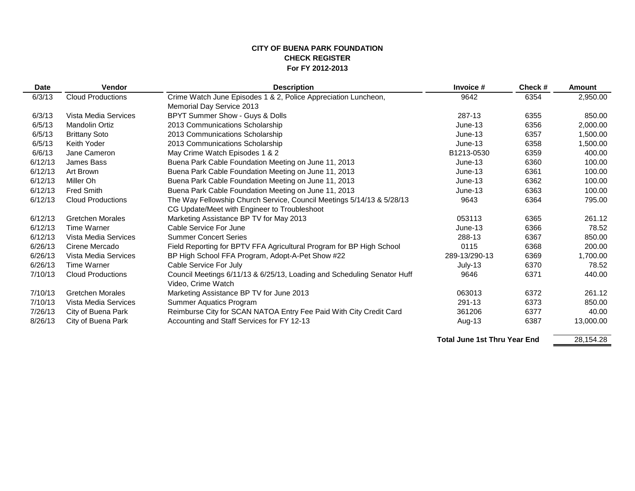#### **CITY OF BUENA PARK FOUNDATION CHECK REGISTER For FY 2012-2013**

 $\overline{\phantom{0}}$ 

| <b>Date</b> | <b>Vendor</b>            | <b>Description</b>                                                      | Invoice #     | Check# | <b>Amount</b> |
|-------------|--------------------------|-------------------------------------------------------------------------|---------------|--------|---------------|
| 6/3/13      | <b>Cloud Productions</b> | Crime Watch June Episodes 1 & 2, Police Appreciation Luncheon,          | 9642          | 6354   | 2,950.00      |
|             |                          | Memorial Day Service 2013                                               |               |        |               |
| 6/3/13      | Vista Media Services     | BPYT Summer Show - Guys & Dolls                                         | 287-13        | 6355   | 850.00        |
| 6/5/13      | <b>Mandolin Ortiz</b>    | 2013 Communications Scholarship                                         | $June-13$     | 6356   | 2,000.00      |
| 6/5/13      | <b>Brittany Soto</b>     | 2013 Communications Scholarship                                         | $June-13$     | 6357   | 1,500.00      |
| 6/5/13      | Keith Yoder              | 2013 Communications Scholarship                                         | $June-13$     | 6358   | 1,500.00      |
| 6/6/13      | Jane Cameron             | May Crime Watch Episodes 1 & 2                                          | B1213-0530    | 6359   | 400.00        |
| 6/12/13     | James Bass               | Buena Park Cable Foundation Meeting on June 11, 2013                    | $June-13$     | 6360   | 100.00        |
| 6/12/13     | Art Brown                | Buena Park Cable Foundation Meeting on June 11, 2013                    | $June-13$     | 6361   | 100.00        |
| 6/12/13     | Miller Oh                | Buena Park Cable Foundation Meeting on June 11, 2013                    | $June-13$     | 6362   | 100.00        |
| 6/12/13     | <b>Fred Smith</b>        | Buena Park Cable Foundation Meeting on June 11, 2013                    | $June-13$     | 6363   | 100.00        |
| 6/12/13     | <b>Cloud Productions</b> | The Way Fellowship Church Service, Council Meetings 5/14/13 & 5/28/13   | 9643          | 6364   | 795.00        |
|             |                          | CG Update/Meet with Engineer to Troubleshoot                            |               |        |               |
| 6/12/13     | <b>Gretchen Morales</b>  | Marketing Assistance BP TV for May 2013                                 | 053113        | 6365   | 261.12        |
| 6/12/13     | <b>Time Warner</b>       | Cable Service For June                                                  | $June-13$     | 6366   | 78.52         |
| 6/12/13     | Vista Media Services     | <b>Summer Concert Series</b>                                            | 288-13        | 6367   | 850.00        |
| 6/26/13     | Cirene Mercado           | Field Reporting for BPTV FFA Agricultural Program for BP High School    | 0115          | 6368   | 200.00        |
| 6/26/13     | Vista Media Services     | BP High School FFA Program, Adopt-A-Pet Show #22                        | 289-13/290-13 | 6369   | 1,700.00      |
| 6/26/13     | <b>Time Warner</b>       | Cable Service For July                                                  | July-13       | 6370   | 78.52         |
| 7/10/13     | <b>Cloud Productions</b> | Council Meetings 6/11/13 & 6/25/13, Loading and Scheduling Senator Huff | 9646          | 6371   | 440.00        |
|             |                          | Video, Crime Watch                                                      |               |        |               |
| 7/10/13     | <b>Gretchen Morales</b>  | Marketing Assistance BP TV for June 2013                                | 063013        | 6372   | 261.12        |
| 7/10/13     | Vista Media Services     | Summer Aquatics Program                                                 | 291-13        | 6373   | 850.00        |
| 7/26/13     | City of Buena Park       | Reimburse City for SCAN NATOA Entry Fee Paid With City Credit Card      | 361206        | 6377   | 40.00         |
| 8/26/13     | City of Buena Park       | Accounting and Staff Services for FY 12-13                              | Aug-13        | 6387   | 13,000.00     |
|             |                          |                                                                         |               |        |               |

**Total June 1st Thru Year End**

28,154.28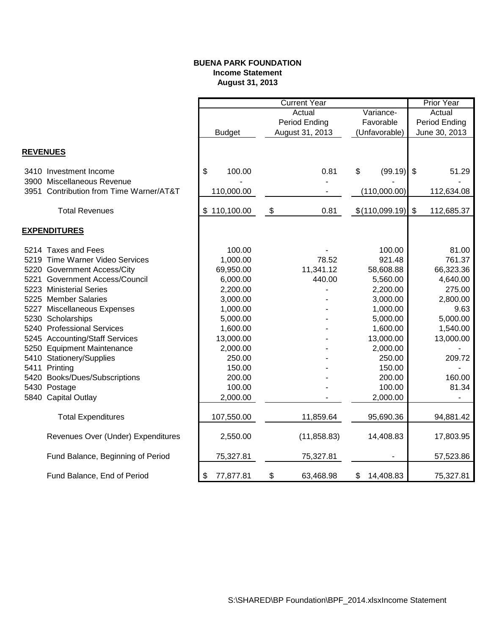# **BUENA PARK FOUNDATION Income Statement August 31, 2013**

|                                         |                 | Prior Year                |                 |                                         |
|-----------------------------------------|-----------------|---------------------------|-----------------|-----------------------------------------|
|                                         |                 | Actual                    |                 |                                         |
|                                         |                 | Period Ending             | Favorable       | Period Ending                           |
|                                         | <b>Budget</b>   | August 31, 2013           | (Unfavorable)   | June 30, 2013                           |
|                                         |                 |                           |                 |                                         |
| <b>REVENUES</b>                         |                 |                           |                 |                                         |
| 3410 Investment Income                  | \$<br>100.00    | 0.81                      | \$<br>(99.19)   | $\boldsymbol{\mathsf{s}}$<br>51.29      |
| 3900 Miscellaneous Revenue              |                 |                           |                 |                                         |
| 3951 Contribution from Time Warner/AT&T | 110,000.00      |                           | (110,000.00)    | 112,634.08                              |
| <b>Total Revenues</b>                   | \$110,100.00    | $\boldsymbol{\$}$<br>0.81 | \$(110,099.19)  | $\boldsymbol{\mathsf{S}}$<br>112,685.37 |
| <b>EXPENDITURES</b>                     |                 |                           |                 |                                         |
| 5214 Taxes and Fees                     | 100.00          |                           | 100.00          | 81.00                                   |
| 5219 Time Warner Video Services         | 1,000.00        | 78.52                     | 921.48          | 761.37                                  |
| 5220 Government Access/City             | 69,950.00       | 11,341.12                 | 58,608.88       | 66,323.36                               |
| 5221 Government Access/Council          | 6,000.00        | 440.00                    | 5,560.00        | 4,640.00                                |
| 5223 Ministerial Series                 | 2,200.00        |                           | 2,200.00        | 275.00                                  |
| 5225 Member Salaries                    | 3,000.00        |                           | 3,000.00        | 2,800.00                                |
| 5227 Miscellaneous Expenses             | 1,000.00        |                           | 1,000.00        | 9.63                                    |
| 5230 Scholarships                       | 5,000.00        |                           | 5,000.00        | 5,000.00                                |
| 5240 Professional Services              | 1,600.00        |                           | 1,600.00        | 1,540.00                                |
| 5245 Accounting/Staff Services          | 13,000.00       |                           | 13,000.00       | 13,000.00                               |
| 5250 Equipment Maintenance              | 2,000.00        |                           | 2,000.00        |                                         |
| 5410 Stationery/Supplies                | 250.00          |                           | 250.00          | 209.72                                  |
| 5411 Printing                           | 150.00          |                           | 150.00          |                                         |
| 5420 Books/Dues/Subscriptions           | 200.00          |                           | 200.00          | 160.00                                  |
| 5430 Postage                            | 100.00          |                           | 100.00          | 81.34                                   |
| 5840 Capital Outlay                     | 2,000.00        |                           | 2,000.00        |                                         |
| <b>Total Expenditures</b>               | 107,550.00      | 11,859.64                 | 95,690.36       | 94,881.42                               |
| Revenues Over (Under) Expenditures      | 2,550.00        | (11, 858.83)              | 14,408.83       | 17,803.95                               |
| Fund Balance, Beginning of Period       | 75,327.81       | 75,327.81                 |                 | 57,523.86                               |
| Fund Balance, End of Period             | 77,877.81<br>\$ | \$<br>63,468.98           | 14,408.83<br>\$ | 75,327.81                               |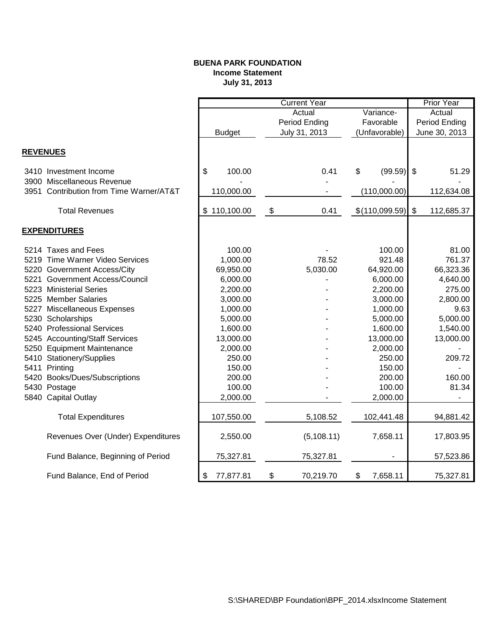# **BUENA PARK FOUNDATION Income Statement July 31, 2013**

|                 |                                         | <b>Current Year</b> |    |               |    |                |               | <b>Prior Year</b>        |  |
|-----------------|-----------------------------------------|---------------------|----|---------------|----|----------------|---------------|--------------------------|--|
|                 |                                         | Variance-<br>Actual |    |               |    |                | Actual        |                          |  |
|                 |                                         |                     |    | Period Ending |    | Favorable      |               | Period Ending            |  |
|                 |                                         | <b>Budget</b>       |    | July 31, 2013 |    | (Unfavorable)  | June 30, 2013 |                          |  |
|                 |                                         |                     |    |               |    |                |               |                          |  |
| <b>REVENUES</b> |                                         |                     |    |               |    |                |               |                          |  |
|                 | 3410 Investment Income                  | \$<br>100.00        |    | 0.41          | \$ | (99.59)        | $\sqrt[6]{3}$ | 51.29                    |  |
|                 | 3900 Miscellaneous Revenue              |                     |    |               |    |                |               |                          |  |
|                 | 3951 Contribution from Time Warner/AT&T | 110,000.00          |    |               |    | (110,000.00)   |               | 112,634.08               |  |
|                 | <b>Total Revenues</b>                   | \$110,100.00        | \$ | 0.41          |    | \$(110,099.59) | \$            | 112,685.37               |  |
|                 |                                         |                     |    |               |    |                |               |                          |  |
|                 | <b>EXPENDITURES</b>                     |                     |    |               |    |                |               |                          |  |
|                 | 5214 Taxes and Fees                     | 100.00              |    |               |    | 100.00         |               | 81.00                    |  |
|                 | 5219 Time Warner Video Services         | 1,000.00            |    | 78.52         |    | 921.48         |               | 761.37                   |  |
|                 | 5220 Government Access/City             | 69,950.00           |    | 5,030.00      |    | 64,920.00      |               | 66,323.36                |  |
|                 | 5221 Government Access/Council          | 6,000.00            |    |               |    | 6,000.00       |               | 4,640.00                 |  |
|                 | 5223 Ministerial Series                 | 2,200.00            |    |               |    | 2,200.00       |               | 275.00                   |  |
|                 | 5225 Member Salaries                    | 3,000.00            |    |               |    | 3,000.00       |               | 2,800.00                 |  |
|                 | 5227 Miscellaneous Expenses             | 1,000.00            |    |               |    | 1,000.00       |               | 9.63                     |  |
|                 | 5230 Scholarships                       | 5,000.00            |    |               |    | 5,000.00       |               | 5,000.00                 |  |
|                 | 5240 Professional Services              | 1,600.00            |    |               |    | 1,600.00       |               | 1,540.00                 |  |
|                 | 5245 Accounting/Staff Services          | 13,000.00           |    |               |    | 13,000.00      |               | 13,000.00                |  |
|                 | 5250 Equipment Maintenance              | 2,000.00            |    |               |    | 2,000.00       |               |                          |  |
|                 | 5410 Stationery/Supplies                | 250.00              |    |               |    | 250.00         |               | 209.72                   |  |
|                 | 5411 Printing                           | 150.00              |    |               |    | 150.00         |               |                          |  |
|                 | 5420 Books/Dues/Subscriptions           | 200.00              |    |               |    | 200.00         |               | 160.00                   |  |
|                 | 5430 Postage                            | 100.00              |    |               |    | 100.00         |               | 81.34                    |  |
|                 | 5840 Capital Outlay                     | 2,000.00            |    |               |    | 2,000.00       |               | $\overline{\phantom{a}}$ |  |
|                 |                                         |                     |    |               |    |                |               |                          |  |
|                 | <b>Total Expenditures</b>               | 107,550.00          |    | 5,108.52      |    | 102,441.48     |               | 94,881.42                |  |
|                 | Revenues Over (Under) Expenditures      | 2,550.00            |    | (5,108.11)    |    | 7,658.11       |               | 17,803.95                |  |
|                 | Fund Balance, Beginning of Period       | 75,327.81           |    | 75,327.81     |    |                |               | 57,523.86                |  |
|                 | Fund Balance, End of Period             | 77,877.81<br>\$     | \$ | 70,219.70     | \$ | 7,658.11       |               | 75,327.81                |  |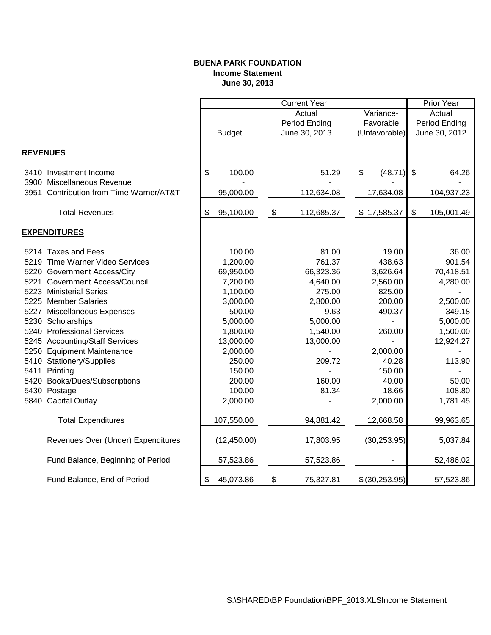# **BUENA PARK FOUNDATION Income Statement June 30, 2013**

|                 |                                         |                 | <b>Current Year</b> |           |                 |                         | Prior Year    |
|-----------------|-----------------------------------------|-----------------|---------------------|-----------|-----------------|-------------------------|---------------|
|                 |                                         |                 | Actual              |           | Variance-       |                         | Actual        |
|                 |                                         |                 | Period Ending       | Favorable |                 | Period Ending           |               |
|                 |                                         | <b>Budget</b>   | June 30, 2013       |           | (Unfavorable)   |                         | June 30, 2012 |
|                 |                                         |                 |                     |           |                 |                         |               |
| <b>REVENUES</b> |                                         |                 |                     |           |                 |                         |               |
|                 | 3410 Investment Income                  | \$<br>100.00    | 51.29               | \$        | (48.71)         | \$                      | 64.26         |
|                 | 3900 Miscellaneous Revenue              |                 |                     |           |                 |                         |               |
|                 | 3951 Contribution from Time Warner/AT&T | 95,000.00       | 112,634.08          |           | 17,634.08       |                         | 104,937.23    |
|                 | <b>Total Revenues</b>                   |                 |                     |           |                 | $\sqrt[6]{\frac{1}{2}}$ |               |
|                 |                                         | \$<br>95,100.00 | \$<br>112,685.37    |           | \$17,585.37     |                         | 105,001.49    |
|                 | <b>EXPENDITURES</b>                     |                 |                     |           |                 |                         |               |
|                 | 5214 Taxes and Fees                     | 100.00          | 81.00               |           | 19.00           |                         | 36.00         |
|                 | 5219 Time Warner Video Services         | 1,200.00        | 761.37              |           | 438.63          |                         | 901.54        |
|                 | 5220 Government Access/City             | 69,950.00       | 66,323.36           |           | 3,626.64        |                         | 70,418.51     |
| 5221            | <b>Government Access/Council</b>        | 7,200.00        | 4,640.00            |           | 2,560.00        |                         | 4,280.00      |
|                 | 5223 Ministerial Series                 | 1,100.00        | 275.00              |           | 825.00          |                         |               |
|                 | 5225 Member Salaries                    | 3,000.00        | 2,800.00            |           | 200.00          |                         | 2,500.00      |
|                 | 5227 Miscellaneous Expenses             | 500.00          | 9.63                |           | 490.37          |                         | 349.18        |
|                 | 5230 Scholarships                       | 5,000.00        | 5,000.00            |           |                 |                         | 5,000.00      |
|                 | 5240 Professional Services              | 1,800.00        | 1,540.00            |           | 260.00          |                         | 1,500.00      |
|                 | 5245 Accounting/Staff Services          | 13,000.00       | 13,000.00           |           |                 |                         | 12,924.27     |
|                 | 5250 Equipment Maintenance              | 2,000.00        |                     |           | 2,000.00        |                         |               |
|                 | 5410 Stationery/Supplies                | 250.00          | 209.72              |           | 40.28           |                         | 113.90        |
|                 | 5411 Printing                           | 150.00          |                     |           | 150.00          |                         |               |
|                 | 5420 Books/Dues/Subscriptions           | 200.00          | 160.00              |           | 40.00           |                         | 50.00         |
|                 | 5430 Postage                            | 100.00          | 81.34               |           | 18.66           |                         | 108.80        |
|                 | 5840 Capital Outlay                     | 2,000.00        |                     |           | 2,000.00        |                         | 1,781.45      |
|                 | <b>Total Expenditures</b>               | 107,550.00      | 94,881.42           |           | 12,668.58       |                         | 99,963.65     |
|                 |                                         |                 |                     |           |                 |                         |               |
|                 | Revenues Over (Under) Expenditures      | (12, 450.00)    | 17,803.95           |           | (30, 253.95)    |                         | 5,037.84      |
|                 | Fund Balance, Beginning of Period       | 57,523.86       | 57,523.86           |           | ٠               |                         | 52,486.02     |
|                 | Fund Balance, End of Period             | \$<br>45,073.86 | \$<br>75,327.81     |           | \$ (30, 253.95) |                         | 57,523.86     |